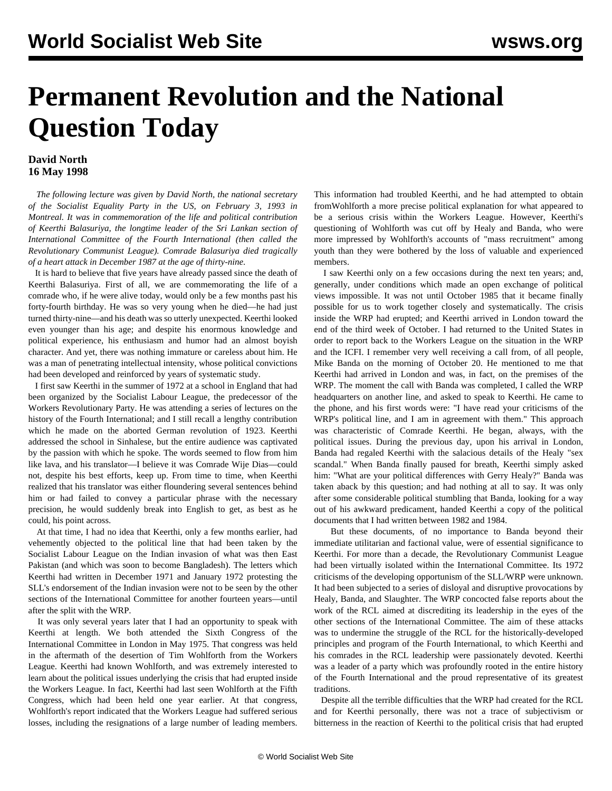## **Permanent Revolution and the National Question Today**

## **David North 16 May 1998**

 *The following lecture was given by David North, the national secretary of the Socialist Equality Party in the US, on February 3, 1993 in Montreal. It was in commemoration of the life and political contribution of Keerthi Balasuriya, the longtime leader of the Sri Lankan section of International Committee of the Fourth International (then called the Revolutionary Communist League). Comrade Balasuriya died tragically of a heart attack in December 1987 at the age of thirty-nine.*

 It is hard to believe that five years have already passed since the death of Keerthi Balasuriya. First of all, we are commemorating the life of a comrade who, if he were alive today, would only be a few months past his forty-fourth birthday. He was so very young when he died—he had just turned thirty-nine—and his death was so utterly unexpected. Keerthi looked even younger than his age; and despite his enormous knowledge and political experience, his enthusiasm and humor had an almost boyish character. And yet, there was nothing immature or careless about him. He was a man of penetrating intellectual intensity, whose political convictions had been developed and reinforced by years of systematic study.

 I first saw Keerthi in the summer of 1972 at a school in England that had been organized by the Socialist Labour League, the predecessor of the Workers Revolutionary Party. He was attending a series of lectures on the history of the Fourth International; and I still recall a lengthy contribution which he made on the aborted German revolution of 1923. Keerthi addressed the school in Sinhalese, but the entire audience was captivated by the passion with which he spoke. The words seemed to flow from him like lava, and his translator—I believe it was Comrade Wije Dias—could not, despite his best efforts, keep up. From time to time, when Keerthi realized that his translator was either floundering several sentences behind him or had failed to convey a particular phrase with the necessary precision, he would suddenly break into English to get, as best as he could, his point across.

 At that time, I had no idea that Keerthi, only a few months earlier, had vehemently objected to the political line that had been taken by the Socialist Labour League on the Indian invasion of what was then East Pakistan (and which was soon to become Bangladesh). The letters which Keerthi had written in December 1971 and January 1972 protesting the SLL's endorsement of the Indian invasion were not to be seen by the other sections of the International Committee for another fourteen years—until after the split with the WRP.

 It was only several years later that I had an opportunity to speak with Keerthi at length. We both attended the Sixth Congress of the International Committee in London in May 1975. That congress was held in the aftermath of the desertion of Tim Wohlforth from the Workers League. Keerthi had known Wohlforth, and was extremely interested to learn about the political issues underlying the crisis that had erupted inside the Workers League. In fact, Keerthi had last seen Wohlforth at the Fifth Congress, which had been held one year earlier. At that congress, Wohlforth's report indicated that the Workers League had suffered serious losses, including the resignations of a large number of leading members.

This information had troubled Keerthi, and he had attempted to obtain fromWohlforth a more precise political explanation for what appeared to be a serious crisis within the Workers League. However, Keerthi's questioning of Wohlforth was cut off by Healy and Banda, who were more impressed by Wohlforth's accounts of "mass recruitment" among youth than they were bothered by the loss of valuable and experienced members.

 I saw Keerthi only on a few occasions during the next ten years; and, generally, under conditions which made an open exchange of political views impossible. It was not until October 1985 that it became finally possible for us to work together closely and systematically. The crisis inside the WRP had erupted; and Keerthi arrived in London toward the end of the third week of October. I had returned to the United States in order to report back to the Workers League on the situation in the WRP and the ICFI. I remember very well receiving a call from, of all people, Mike Banda on the morning of October 20. He mentioned to me that Keerthi had arrived in London and was, in fact, on the premises of the WRP. The moment the call with Banda was completed, I called the WRP headquarters on another line, and asked to speak to Keerthi. He came to the phone, and his first words were: "I have read your criticisms of the WRP's political line, and I am in agreement with them." This approach was characteristic of Comrade Keerthi. He began, always, with the political issues. During the previous day, upon his arrival in London, Banda had regaled Keerthi with the salacious details of the Healy "sex scandal." When Banda finally paused for breath, Keerthi simply asked him: "What are your political differences with Gerry Healy?" Banda was taken aback by this question; and had nothing at all to say. It was only after some considerable political stumbling that Banda, looking for a way out of his awkward predicament, handed Keerthi a copy of the political documents that I had written between 1982 and 1984.

 But these documents, of no importance to Banda beyond their immediate utilitarian and factional value, were of essential significance to Keerthi. For more than a decade, the Revolutionary Communist League had been virtually isolated within the International Committee. Its 1972 criticisms of the developing opportunism of the SLL/WRP were unknown. It had been subjected to a series of disloyal and disruptive provocations by Healy, Banda, and Slaughter. The WRP concocted false reports about the work of the RCL aimed at discrediting its leadership in the eyes of the other sections of the International Committee. The aim of these attacks was to undermine the struggle of the RCL for the historically-developed principles and program of the Fourth International, to which Keerthi and his comrades in the RCL leadership were passionately devoted. Keerthi was a leader of a party which was profoundly rooted in the entire history of the Fourth International and the proud representative of its greatest traditions.

 Despite all the terrible difficulties that the WRP had created for the RCL and for Keerthi personally, there was not a trace of subjectivism or bitterness in the reaction of Keerthi to the political crisis that had erupted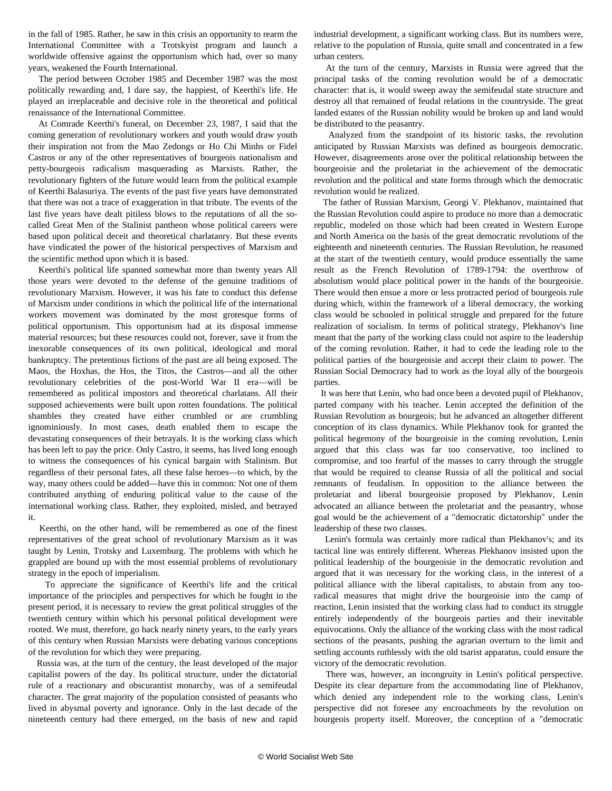in the fall of 1985. Rather, he saw in this crisis an opportunity to rearm the International Committee with a Trotskyist program and launch a worldwide offensive against the opportunism which had, over so many years, weakened the Fourth International.

 The period between October 1985 and December 1987 was the most politically rewarding and, I dare say, the happiest, of Keerthi's life. He played an irreplaceable and decisive role in the theoretical and political renaissance of the International Committee.

 At Comrade Keerthi's funeral, on December 23, 1987, I said that the coming generation of revolutionary workers and youth would draw youth their inspiration not from the Mao Zedongs or Ho Chi Minhs or Fidel Castros or any of the other representatives of bourgeois nationalism and petty-bourgeois radicalism masquerading as Marxists. Rather, the revolutionary fighters of the future would learn from the political example of Keerthi Balasuriya. The events of the past five years have demonstrated that there was not a trace of exaggeration in that tribute. The events of the last five years have dealt pitiless blows to the reputations of all the socalled Great Men of the Stalinist pantheon whose political careers were based upon political deceit and theoretical charlatanry. But these events have vindicated the power of the historical perspectives of Marxism and the scientific method upon which it is based.

 Keerthi's political life spanned somewhat more than twenty years All those years were devoted to the defense of the genuine traditions of revolutionary Marxism. However, it was his fate to conduct this defense of Marxism under conditions in which the political life of the international workers movement was dominated by the most grotesque forms of political opportunism. This opportunism had at its disposal immense material resources; but these resources could not, forever, save it from the inexorable consequences of its own political, ideological and moral bankruptcy. The pretentious fictions of the past are all being exposed. The Maos, the Hoxhas, the Hos, the Titos, the Castros—and all the other revolutionary celebrities of the post-World War II era—will be remembered as political impostors and theoretical charlatans. All their supposed achievements were built upon rotten foundations. The political shambles they created have either crumbled or are crumbling ignominiously. In most cases, death enabled them to escape the devastating consequences of their betrayals. It is the working class which has been left to pay the price. Only Castro, it seems, has lived long enough to witness the consequences of his cynical bargain with Stalinism. But regardless of their personal fates, all these false heroes—to which, by the way, many others could be added—have this in common: Not one of them contributed anything of enduring political value to the cause of the international working class. Rather, they exploited, misled, and betrayed it.

 Keerthi, on the other hand, will be remembered as one of the finest representatives of the great school of revolutionary Marxism as it was taught by Lenin, Trotsky and Luxemburg. The problems with which he grappled are bound up with the most essential problems of revolutionary strategy in the epoch of imperialism.

 To appreciate the significance of Keerthi's life and the critical importance of the principles and perspectives for which he fought in the present period, it is necessary to review the great political struggles of the twentieth century within which his personal political development were rooted. We must, therefore, go back nearly ninety years, to the early years of this century when Russian Marxists were debating various conceptions of the revolution for which they were preparing.

 Russia was, at the turn of the century, the least developed of the major capitalist powers of the day. Its political structure, under the dictatorial rule of a reactionary and obscurantist monarchy, was of a semifeudal character. The great majority of the population consisted of peasants who lived in abysmal poverty and ignorance. Only in the last decade of the nineteenth century had there emerged, on the basis of new and rapid industrial development, a significant working class. But its numbers were, relative to the population of Russia, quite small and concentrated in a few urban centers.

 At the turn of the century, Marxists in Russia were agreed that the principal tasks of the coming revolution would be of a democratic character: that is, it would sweep away the semifeudal state structure and destroy all that remained of feudal relations in the countryside. The great landed estates of the Russian nobility would be broken up and land would be distributed to the peasantry.

 Analyzed from the standpoint of its historic tasks, the revolution anticipated by Russian Marxists was defined as bourgeois democratic. However, disagreements arose over the political relationship between the bourgeoisie and the proletariat in the achievement of the democratic revolution and the political and state forms through which the democratic revolution would be realized.

 The father of Russian Marxism, Georgi V. Plekhanov, maintained that the Russian Revolution could aspire to produce no more than a democratic republic, modeled on those which had been created in Western Europe and North America on the basis of the great democratic revolutions of the eighteenth and nineteenth centuries. The Russian Revolution, he reasoned at the start of the twentieth century, would produce essentially the same result as the French Revolution of 1789-1794: the overthrow of absolutism would place political power in the hands of the bourgeoisie. There would then ensue a more or less protracted period of bourgeois rule during which, within the framework of a liberal democracy, the working class would be schooled in political struggle and prepared for the future realization of socialism. In terms of political strategy, Plekhanov's line meant that the party of the working class could not aspire to the leadership of the coming revolution. Rather, it had to cede the leading role to the political parties of the bourgeoisie and accept their claim to power. The Russian Social Democracy had to work as the loyal ally of the bourgeois parties.

 It was here that Lenin, who had once been a devoted pupil of Plekhanov, parted company with his teacher. Lenin accepted the definition of the Russian Revolution as bourgeois; but he advanced an altogether different conception of its class dynamics. While Plekhanov took for granted the political hegemony of the bourgeoisie in the coming revolution, Lenin argued that this class was far too conservative, too inclined to compromise, and too fearful of the masses to carry through the struggle that would be required to cleanse Russia of all the political and social remnants of feudalism. In opposition to the alliance between the proletariat and liberal bourgeoisie proposed by Plekhanov, Lenin advocated an alliance between the proletariat and the peasantry, whose goal would be the achievement of a "democratic dictatorship" under the leadership of these two classes.

 Lenin's formula was certainly more radical than Plekhanov's; and its tactical line was entirely different. Whereas Plekhanov insisted upon the political leadership of the bourgeoisie in the democratic revolution and argued that it was necessary for the working class, in the interest of a political alliance with the liberal capitalists, to abstain from any tooradical measures that might drive the bourgeoisie into the camp of reaction, Lenin insisted that the working class had to conduct its struggle entirely independently of the bourgeois parties and their inevitable equivocations. Only the alliance of the working class with the most radical sections of the peasants, pushing the agrarian overturn to the limit and settling accounts ruthlessly with the old tsarist apparatus, could ensure the victory of the democratic revolution.

 There was, however, an incongruity in Lenin's political perspective. Despite its clear departure from the accommodating line of Plekhanov, which denied any independent role to the working class, Lenin's perspective did not foresee any encroachments by the revolution on bourgeois property itself. Moreover, the conception of a "democratic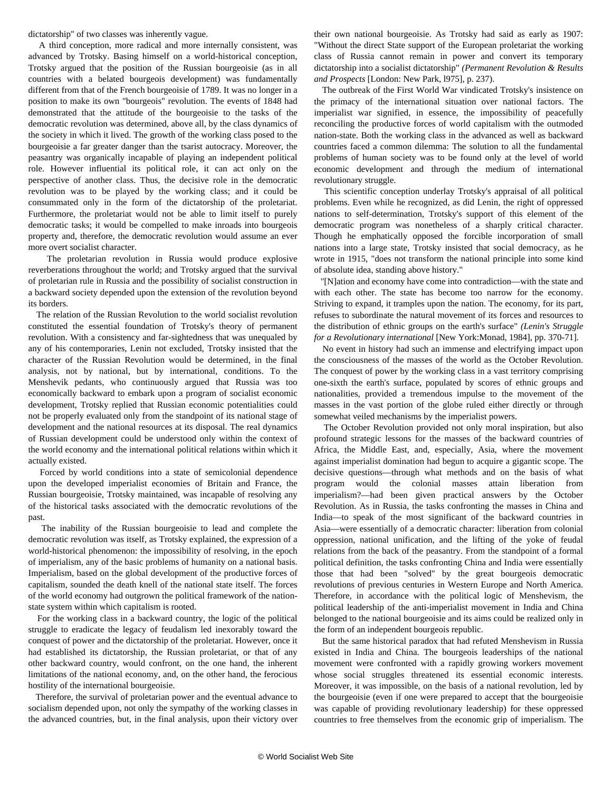dictatorship" of two classes was inherently vague.

 A third conception, more radical and more internally consistent, was advanced by Trotsky. Basing himself on a world-historical conception, Trotsky argued that the position of the Russian bourgeoisie (as in all countries with a belated bourgeois development) was fundamentally different from that of the French bourgeoisie of 1789. It was no longer in a position to make its own "bourgeois" revolution. The events of 1848 had demonstrated that the attitude of the bourgeoisie to the tasks of the democratic revolution was determined, above all, by the class dynamics of the society in which it lived. The growth of the working class posed to the bourgeoisie a far greater danger than the tsarist autocracy. Moreover, the peasantry was organically incapable of playing an independent political role. However influential its political role, it can act only on the perspective of another class. Thus, the decisive role in the democratic revolution was to be played by the working class; and it could be consummated only in the form of the dictatorship of the proletariat. Furthermore, the proletariat would not be able to limit itself to purely democratic tasks; it would be compelled to make inroads into bourgeois property and, therefore, the democratic revolution would assume an ever more overt socialist character.

 The proletarian revolution in Russia would produce explosive reverberations throughout the world; and Trotsky argued that the survival of proletarian rule in Russia and the possibility of socialist construction in a backward society depended upon the extension of the revolution beyond its borders.

 The relation of the Russian Revolution to the world socialist revolution constituted the essential foundation of Trotsky's theory of permanent revolution. With a consistency and far-sightedness that was unequaled by any of his contemporaries, Lenin not excluded, Trotsky insisted that the character of the Russian Revolution would be determined, in the final analysis, not by national, but by international, conditions. To the Menshevik pedants, who continuously argued that Russia was too economically backward to embark upon a program of socialist economic development, Trotsky replied that Russian economic potentialities could not be properly evaluated only from the standpoint of its national stage of development and the national resources at its disposal. The real dynamics of Russian development could be understood only within the context of the world economy and the international political relations within which it actually existed.

 Forced by world conditions into a state of semicolonial dependence upon the developed imperialist economies of Britain and France, the Russian bourgeoisie, Trotsky maintained, was incapable of resolving any of the historical tasks associated with the democratic revolutions of the past.

 The inability of the Russian bourgeoisie to lead and complete the democratic revolution was itself, as Trotsky explained, the expression of a world-historical phenomenon: the impossibility of resolving, in the epoch of imperialism, any of the basic problems of humanity on a national basis. Imperialism, based on the global development of the productive forces of capitalism, sounded the death knell of the national state itself. The forces of the world economy had outgrown the political framework of the nationstate system within which capitalism is rooted.

 For the working class in a backward country, the logic of the political struggle to eradicate the legacy of feudalism led inexorably toward the conquest of power and the dictatorship of the proletariat. However, once it had established its dictatorship, the Russian proletariat, or that of any other backward country, would confront, on the one hand, the inherent limitations of the national economy, and, on the other hand, the ferocious hostility of the international bourgeoisie.

 Therefore, the survival of proletarian power and the eventual advance to socialism depended upon, not only the sympathy of the working classes in the advanced countries, but, in the final analysis, upon their victory over their own national bourgeoisie. As Trotsky had said as early as 1907: "Without the direct State support of the European proletariat the working class of Russia cannot remain in power and convert its temporary dictatorship into a socialist dictatorship" *(Permanent Revolution & Results and Prospects* [London: New Park, l975], p. 237).

 The outbreak of the First World War vindicated Trotsky's insistence on the primacy of the international situation over national factors. The imperialist war signified, in essence, the impossibility of peacefully reconciling the productive forces of world capitalism with the outmoded nation-state. Both the working class in the advanced as well as backward countries faced a common dilemma: The solution to all the fundamental problems of human society was to be found only at the level of world economic development and through the medium of international revolutionary struggle.

 This scientific conception underlay Trotsky's appraisal of all political problems. Even while he recognized, as did Lenin, the right of oppressed nations to self-determination, Trotsky's support of this element of the democratic program was nonetheless of a sharply critical character. Though he emphatically opposed the forcible incorporation of small nations into a large state, Trotsky insisted that social democracy, as he wrote in 1915, "does not transform the national principle into some kind of absolute idea, standing above history."

 "[N]ation and economy have come into contradiction—with the state and with each other. The state has become too narrow for the economy. Striving to expand, it tramples upon the nation. The economy, for its part, refuses to subordinate the natural movement of its forces and resources to the distribution of ethnic groups on the earth's surface" *(Lenin's Struggle for a Revolutionary international* [New York:Monad, 1984], pp. 370-71].

 No event in history had such an immense and electrifying impact upon the consciousness of the masses of the world as the October Revolution. The conquest of power by the working class in a vast territory comprising one-sixth the earth's surface, populated by scores of ethnic groups and nationalities, provided a tremendous impulse to the movement of the masses in the vast portion of the globe ruled either directly or through somewhat veiled mechanisms by the imperialist powers.

 The October Revolution provided not only moral inspiration, but also profound strategic lessons for the masses of the backward countries of Africa, the Middle East, and, especially, Asia, where the movement against imperialist domination had begun to acquire a gigantic scope. The decisive questions—through what methods and on the basis of what program would the colonial masses attain liberation from imperialism?—had been given practical answers by the October Revolution. As in Russia, the tasks confronting the masses in China and India—to speak of the most significant of the backward countries in Asia—were essentially of a democratic character: liberation from colonial oppression, national unification, and the lifting of the yoke of feudal relations from the back of the peasantry. From the standpoint of a formal political definition, the tasks confronting China and India were essentially those that had been "solved" by the great bourgeois democratic revolutions of previous centuries in Western Europe and North America. Therefore, in accordance with the political logic of Menshevism, the political leadership of the anti-imperialist movement in India and China belonged to the national bourgeoisie and its aims could be realized only in the form of an independent bourgeois republic.

 But the same historical paradox that had refuted Menshevism in Russia existed in India and China. The bourgeois leaderships of the national movement were confronted with a rapidly growing workers movement whose social struggles threatened its essential economic interests. Moreover, it was impossible, on the basis of a national revolution, led by the bourgeoisie (even if one were prepared to accept that the bourgeoisie was capable of providing revolutionary leadership) for these oppressed countries to free themselves from the economic grip of imperialism. The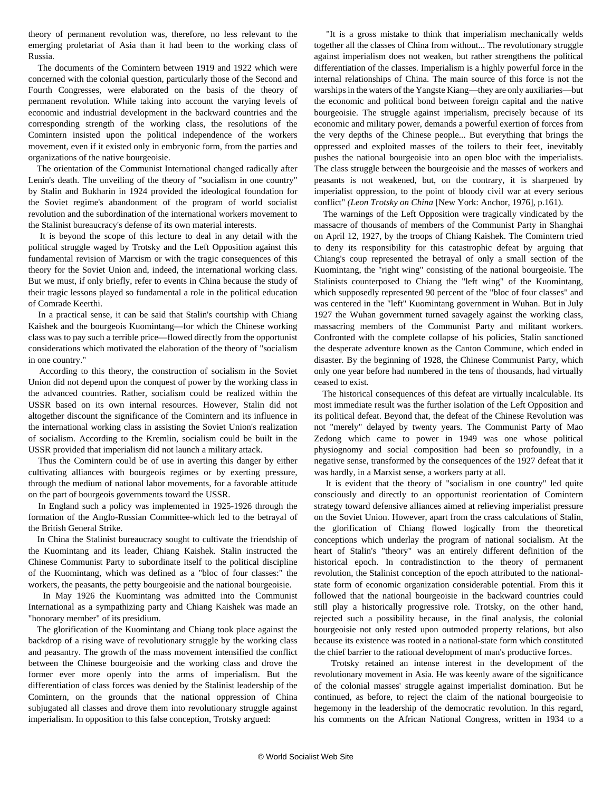theory of permanent revolution was, therefore, no less relevant to the emerging proletariat of Asia than it had been to the working class of Russia.

 The documents of the Comintern between 1919 and 1922 which were concerned with the colonial question, particularly those of the Second and Fourth Congresses, were elaborated on the basis of the theory of permanent revolution. While taking into account the varying levels of economic and industrial development in the backward countries and the corresponding strength of the working class, the resolutions of the Comintern insisted upon the political independence of the workers movement, even if it existed only in embryonic form, from the parties and organizations of the native bourgeoisie.

 The orientation of the Communist International changed radically after Lenin's death. The unveiling of the theory of "socialism in one country" by Stalin and Bukharin in 1924 provided the ideological foundation for the Soviet regime's abandonment of the program of world socialist revolution and the subordination of the international workers movement to the Stalinist bureaucracy's defense of its own material interests.

 It is beyond the scope of this lecture to deal in any detail with the political struggle waged by Trotsky and the Left Opposition against this fundamental revision of Marxism or with the tragic consequences of this theory for the Soviet Union and, indeed, the international working class. But we must, if only briefly, refer to events in China because the study of their tragic lessons played so fundamental a role in the political education of Comrade Keerthi.

 In a practical sense, it can be said that Stalin's courtship with Chiang Kaishek and the bourgeois Kuomintang—for which the Chinese working class was to pay such a terrible price—flowed directly from the opportunist considerations which motivated the elaboration of the theory of "socialism in one country."

 According to this theory, the construction of socialism in the Soviet Union did not depend upon the conquest of power by the working class in the advanced countries. Rather, socialism could be realized within the USSR based on its own internal resources. However, Stalin did not altogether discount the significance of the Comintern and its influence in the international working class in assisting the Soviet Union's realization of socialism. According to the Kremlin, socialism could be built in the USSR provided that imperialism did not launch a military attack.

 Thus the Comintern could be of use in averting this danger by either cultivating alliances with bourgeois regimes or by exerting pressure, through the medium of national labor movements, for a favorable attitude on the part of bourgeois governments toward the USSR.

 In England such a policy was implemented in 1925-1926 through the formation of the Anglo-Russian Committee-which led to the betrayal of the British General Strike.

 In China the Stalinist bureaucracy sought to cultivate the friendship of the Kuomintang and its leader, Chiang Kaishek. Stalin instructed the Chinese Communist Party to subordinate itself to the political discipline of the Kuomintang, which was defined as a "bloc of four classes:" the workers, the peasants, the petty bourgeoisie and the national bourgeoisie.

 In May 1926 the Kuomintang was admitted into the Communist International as a sympathizing party and Chiang Kaishek was made an "honorary member" of its presidium.

 The glorification of the Kuomintang and Chiang took place against the backdrop of a rising wave of revolutionary struggle by the working class and peasantry. The growth of the mass movement intensified the conflict between the Chinese bourgeoisie and the working class and drove the former ever more openly into the arms of imperialism. But the differentiation of class forces was denied by the Stalinist leadership of the Comintern, on the grounds that the national oppression of China subjugated all classes and drove them into revolutionary struggle against imperialism. In opposition to this false conception, Trotsky argued:

 "It is a gross mistake to think that imperialism mechanically welds together all the classes of China from without... The revolutionary struggle against imperialism does not weaken, but rather strengthens the political differentiation of the classes. Imperialism is a highly powerful force in the internal relationships of China. The main source of this force is not the warships in the waters of the Yangste Kiang—they are only auxiliaries—but the economic and political bond between foreign capital and the native bourgeoisie. The struggle against imperialism, precisely because of its economic and military power, demands a powerful exertion of forces from the very depths of the Chinese people... But everything that brings the oppressed and exploited masses of the toilers to their feet, inevitably pushes the national bourgeoisie into an open bloc with the imperialists. The class struggle between the bourgeoisie and the masses of workers and peasants is not weakened, but, on the contrary, it is sharpened by imperialist oppression, to the point of bloody civil war at every serious conflict" *(Leon Trotsky on China* [New York: Anchor, 1976], p.161).

 The warnings of the Left Opposition were tragically vindicated by the massacre of thousands of members of the Communist Party in Shanghai on April 12, 1927, by the troops of Chiang Kaishek. The Comintern tried to deny its responsibility for this catastrophic defeat by arguing that Chiang's coup represented the betrayal of only a small section of the Kuomintang, the "right wing" consisting of the national bourgeoisie. The Stalinists counterposed to Chiang the "left wing" of the Kuomintang, which supposedly represented 90 percent of the "bloc of four classes" and was centered in the "left" Kuomintang government in Wuhan. But in July 1927 the Wuhan government turned savagely against the working class, massacring members of the Communist Party and militant workers. Confronted with the complete collapse of his policies, Stalin sanctioned the desperate adventure known as the Canton Commune, which ended in disaster. By the beginning of 1928, the Chinese Communist Party, which only one year before had numbered in the tens of thousands, had virtually ceased to exist.

 The historical consequences of this defeat are virtually incalculable. Its most immediate result was the further isolation of the Left Opposition and its political defeat. Beyond that, the defeat of the Chinese Revolution was not "merely" delayed by twenty years. The Communist Party of Mao Zedong which came to power in 1949 was one whose political physiognomy and social composition had been so profoundly, in a negative sense, transformed by the consequences of the 1927 defeat that it was hardly, in a Marxist sense, a workers party at all.

 It is evident that the theory of "socialism in one country" led quite consciously and directly to an opportunist reorientation of Comintern strategy toward defensive alliances aimed at relieving imperialist pressure on the Soviet Union. However, apart from the crass calculations of Stalin, the glorification of Chiang flowed logically from the theoretical conceptions which underlay the program of national socialism. At the heart of Stalin's "theory" was an entirely different definition of the historical epoch. In contradistinction to the theory of permanent revolution, the Stalinist conception of the epoch attributed to the nationalstate form of economic organization considerable potential. From this it followed that the national bourgeoisie in the backward countries could still play a historically progressive role. Trotsky, on the other hand, rejected such a possibility because, in the final analysis, the colonial bourgeoisie not only rested upon outmoded property relations, but also because its existence was rooted in a national-state form which constituted the chief barrier to the rational development of man's productive forces.

 Trotsky retained an intense interest in the development of the revolutionary movement in Asia. He was keenly aware of the significance of the colonial masses' struggle against imperialist domination. But he continued, as before, to reject the claim of the national bourgeoisie to hegemony in the leadership of the democratic revolution. In this regard, his comments on the African National Congress, written in 1934 to a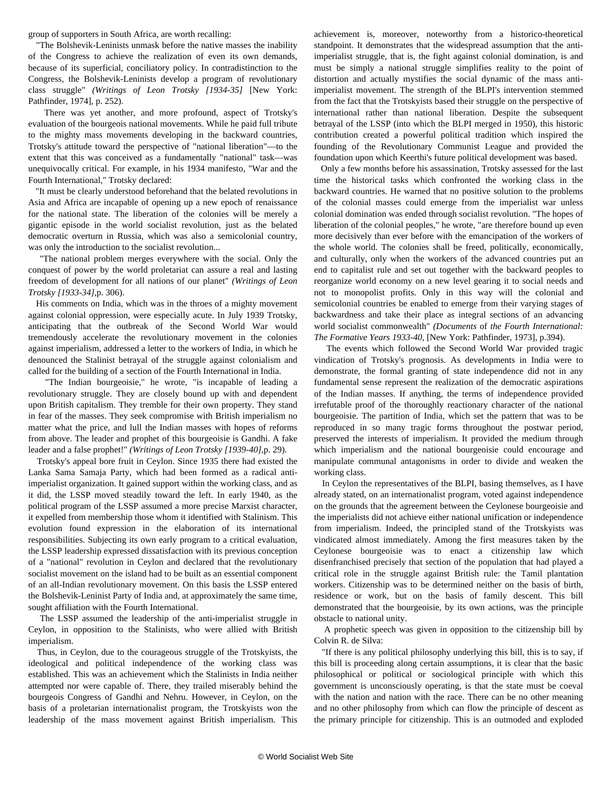group of supporters in South Africa, are worth recalling:

 "The Bolshevik-Leninists unmask before the native masses the inability of the Congress to achieve the realization of even its own demands, because of its superficial, conciliatory policy. In contradistinction to the Congress, the Bolshevik-Leninists develop a program of revolutionary class struggle" *(Writings of Leon Trotsky [1934-35]* [New York: Pathfinder, 1974], p. 252).

 There was yet another, and more profound, aspect of Trotsky's evaluation of the bourgeois national movements. While he paid full tribute to the mighty mass movements developing in the backward countries, Trotsky's attitude toward the perspective of "national liberation"—to the extent that this was conceived as a fundamentally "national" task—was unequivocally critical. For example, in his 1934 manifesto, "War and the Fourth International," Trotsky declared:

 "It must be clearly understood beforehand that the belated revolutions in Asia and Africa are incapable of opening up a new epoch of renaissance for the national state. The liberation of the colonies will be merely a gigantic episode in the world socialist revolution, just as the belated democratic overturn in Russia, which was also a semicolonial country, was only the introduction to the socialist revolution...

 "The national problem merges everywhere with the social. Only the conquest of power by the world proletariat can assure a real and lasting freedom of development for all nations of our planet" *(Writings of Leon Trotsky [1933-34]*,p. 306).

 His comments on India, which was in the throes of a mighty movement against colonial oppression, were especially acute. In July 1939 Trotsky, anticipating that the outbreak of the Second World War would tremendously accelerate the revolutionary movement in the colonies against imperialism, addressed a letter to the workers of India, in which he denounced the Stalinist betrayal of the struggle against colonialism and called for the building of a section of the Fourth International in India.

 "The Indian bourgeoisie," he wrote, "is incapable of leading a revolutionary struggle. They are closely bound up with and dependent upon British capitalism. They tremble for their own property. They stand in fear of the masses. They seek compromise with British imperialism no matter what the price, and lull the Indian masses with hopes of reforms from above. The leader and prophet of this bourgeoisie is Gandhi. A fake leader and a false prophet!" *(Writings of Leon Trotsky [1939-40]*,p. 29).

 Trotsky's appeal bore fruit in Ceylon. Since 1935 there had existed the Lanka Sama Samaja Party, which had been formed as a radical antiimperialist organization. It gained support within the working class, and as it did, the LSSP moved steadily toward the left. In early 1940, as the political program of the LSSP assumed a more precise Marxist character, it expelled from membership those whom it identified with Stalinism. This evolution found expression in the elaboration of its international responsibilities. Subjecting its own early program to a critical evaluation, the LSSP leadership expressed dissatisfaction with its previous conception of a "national" revolution in Ceylon and declared that the revolutionary socialist movement on the island had to be built as an essential component of an all-Indian revolutionary movement. On this basis the LSSP entered the Bolshevik-Leninist Party of India and, at approximately the same time, sought affiliation with the Fourth International.

 The LSSP assumed the leadership of the anti-imperialist struggle in Ceylon, in opposition to the Stalinists, who were allied with British imperialism.

 Thus, in Ceylon, due to the courageous struggle of the Trotskyists, the ideological and political independence of the working class was established. This was an achievement which the Stalinists in India neither attempted nor were capable of. There, they trailed miserably behind the bourgeois Congress of Gandhi and Nehru. However, in Ceylon, on the basis of a proletarian internationalist program, the Trotskyists won the leadership of the mass movement against British imperialism. This achievement is, moreover, noteworthy from a historico-theoretical standpoint. It demonstrates that the widespread assumption that the antiimperialist struggle, that is, the fight against colonial domination, is and must be simply a national struggle simplifies reality to the point of distortion and actually mystifies the social dynamic of the mass antiimperialist movement. The strength of the BLPI's intervention stemmed from the fact that the Trotskyists based their struggle on the perspective of international rather than national liberation. Despite the subsequent betrayal of the LSSP (into which the BLPI merged in 1950), this historic contribution created a powerful political tradition which inspired the founding of the Revolutionary Communist League and provided the foundation upon which Keerthi's future political development was based.

 Only a few months before his assassination, Trotsky assessed for the last time the historical tasks which confronted the working class in the backward countries. He warned that no positive solution to the problems of the colonial masses could emerge from the imperialist war unless colonial domination was ended through socialist revolution. "The hopes of liberation of the colonial peoples," he wrote, "are therefore bound up even more decisively than ever before with the emancipation of the workers of the whole world. The colonies shall be freed, politically, economically, and culturally, only when the workers of the advanced countries put an end to capitalist rule and set out together with the backward peoples to reorganize world economy on a new level gearing it to social needs and not to monopolist profits. Only in this way will the colonial and semicolonial countries be enabled to emerge from their varying stages of backwardness and take their place as integral sections of an advancing world socialist commonwealth" *(Documents* of *the Fourth International: The Formative Years 1933-40,* [New York: Pathfinder, 1973], p.394).

 The events which followed the Second World War provided tragic vindication of Trotsky's prognosis. As developments in India were to demonstrate, the formal granting of state independence did not in any fundamental sense represent the realization of the democratic aspirations of the Indian masses. If anything, the terms of independence provided irrefutable proof of the thoroughly reactionary character of the national bourgeoisie. The partition of India, which set the pattern that was to be reproduced in so many tragic forms throughout the postwar period, preserved the interests of imperialism. It provided the medium through which imperialism and the national bourgeoisie could encourage and manipulate communal antagonisms in order to divide and weaken the working class.

 In Ceylon the representatives of the BLPI, basing themselves, as I have already stated, on an internationalist program, voted against independence on the grounds that the agreement between the Ceylonese bourgeoisie and the imperialists did not achieve either national unification or independence from imperialism. Indeed, the principled stand of the Trotskyists was vindicated almost immediately. Among the first measures taken by the Ceylonese bourgeoisie was to enact a citizenship law which disenfranchised precisely that section of the population that had played a critical role in the struggle against British rule: the Tamil plantation workers. Citizenship was to be determined neither on the basis of birth, residence or work, but on the basis of family descent. This bill demonstrated that the bourgeoisie, by its own actions, was the principle obstacle to national unity.

 A prophetic speech was given in opposition to the citizenship bill by Colvin R. de Silva:

 "If there is any political philosophy underlying this bill, this is to say, if this bill is proceeding along certain assumptions, it is clear that the basic philosophical or political or sociological principle with which this government is unconsciously operating, is that the state must be coeval with the nation and nation with the race. There can be no other meaning and no other philosophy from which can flow the principle of descent as the primary principle for citizenship. This is an outmoded and exploded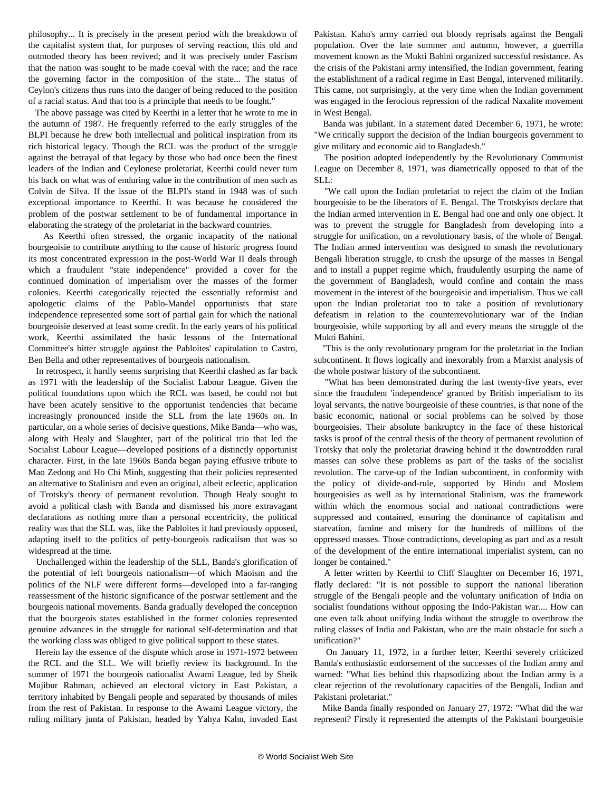philosophy... It is precisely in the present period with the breakdown of the capitalist system that, for purposes of serving reaction, this old and outmoded theory has been revived; and it was precisely under Fascism that the nation was sought to be made coeval with the race; and the race the governing factor in the composition of the state... The status of Ceylon's citizens thus runs into the danger of being reduced to the position of a racial status. And that too is a principle that needs to be fought."

 The above passage was cited by Keerthi in a letter that he wrote to me in the autumn of 1987. He frequently referred to the early struggles of the BLPI because he drew both intellectual and political inspiration from its rich historical legacy. Though the RCL was the product of the struggle against the betrayal of that legacy by those who had once been the finest leaders of the Indian and Ceylonese proletariat, Keerthi could never turn his back on what was of enduring value in the contribution of men such as Colvin de Silva. If the issue of the BLPI's stand in 1948 was of such exceptional importance to Keerthi. It was because he considered the problem of the postwar settlement to be of fundamental importance in elaborating the strategy of the proletariat in the backward countries.

 As Keerthi often stressed, the organic incapacity of the national bourgeoisie to contribute anything to the cause of historic progress found its most concentrated expression in the post-World War II deals through which a fraudulent "state independence" provided a cover for the continued domination of imperialism over the masses of the former colonies. Keerthi categorically rejected the essentially reformist and apologetic claims of the Pablo-Mandel opportunists that state independence represented some sort of partial gain for which the national bourgeoisie deserved at least some credit. In the early years of his political work, Keerthi assimilated the basic lessons of the International Committee's bitter struggle against the Pabloites' capitulation to Castro, Ben Bella and other representatives of bourgeois nationalism.

 In retrospect, it hardly seems surprising that Keerthi clashed as far back as 1971 with the leadership of the Socialist Labour League. Given the political foundations upon which the RCL was based, he could not but have been acutely sensitive to the opportunist tendencies that became increasingly pronounced inside the SLL from the late 1960s on. In particular, on a whole series of decisive questions, Mike Banda—who was, along with Healy and Slaughter, part of the political trio that led the Socialist Labour League—developed positions of a distinctly opportunist character. First, in the late 1960s Banda began paying effusive tribute to Mao Zedong and Ho Chi Minh, suggesting that their policies represented an alternative to Stalinism and even an original, albeit eclectic, application of Trotsky's theory of permanent revolution. Though Healy sought to avoid a political clash with Banda and dismissed his more extravagant declarations as nothing more than a personal eccentricity, the political reality was that the SLL was, like the Pabloites it had previously opposed, adapting itself to the politics of petty-bourgeois radicalism that was so widespread at the time.

 Unchallenged within the leadership of the SLL, Banda's glorification of the potential of left bourgeois nationalism—of which Maoism and the politics of the NLF were different forms—developed into a far-ranging reassessment of the historic significance of the postwar settlement and the bourgeois national movements. Banda gradually developed the conception that the bourgeois states established in the former colonies represented genuine advances in the struggle for national self-determination and that the working class was obliged to give political support to these states.

 Herein lay the essence of the dispute which arose in 1971-1972 between the RCL and the SLL. We will briefly review its background. In the summer of 1971 the bourgeois nationalist Awami League, led by Sheik Mujibur Rahman, achieved an electoral victory in East Pakistan, a territory inhabited by Bengali people and separated by thousands of miles from the rest of Pakistan. In response to the Awami League victory, the ruling military junta of Pakistan, headed by Yahya Kahn, invaded East Pakistan. Kahn's army carried out bloody reprisals against the Bengali population. Over the late summer and autumn, however, a guerrilla movement known as the Mukti Bahini organized successful resistance. As the crisis of the Pakistani army intensified, the Indian government, fearing the establishment of a radical regime in East Bengal, intervened militarily. This came, not surprisingly, at the very time when the Indian government was engaged in the ferocious repression of the radical Naxalite movement in West Bengal.

 Banda was jubilant. In a statement dated December 6, 1971, he wrote: "We critically support the decision of the Indian bourgeois government to give military and economic aid to Bangladesh."

 The position adopted independently by the Revolutionary Communist League on December 8, 1971, was diametrically opposed to that of the SLL:

 "We call upon the Indian proletariat to reject the claim of the Indian bourgeoisie to be the liberators of E. Bengal. The Trotskyists declare that the Indian armed intervention in E. Bengal had one and only one object. It was to prevent the struggle for Bangladesh from developing into a struggle for unification, on a revolutionary basis, of the whole of Bengal. The Indian armed intervention was designed to smash the revolutionary Bengali liberation struggle, to crush the upsurge of the masses in Bengal and to install a puppet regime which, fraudulently usurping the name of the government of Bangladesh, would confine and contain the mass movement in the interest of the bourgeoisie and imperialism. Thus we call upon the Indian proletariat too to take a position of revolutionary defeatism in relation to the counterrevolutionary war of the Indian bourgeoisie, while supporting by all and every means the struggle of the Mukti Bahini.

 "This is the only revolutionary program for the proletariat in the Indian subcontinent. It flows logically and inexorably from a Marxist analysis of the whole postwar history of the subcontinent.

 "What has been demonstrated during the last twenty-five years, ever since the fraudulent 'independence' granted by British imperialism to its loyal servants, the native bourgeoisie of these countries, is that none of the basic economic, national or social problems can be solved by those bourgeoisies. Their absolute bankruptcy in the face of these historical tasks is proof of the central thesis of the theory of permanent revolution of Trotsky that only the proletariat drawing behind it the downtrodden rural masses can solve these problems as part of the tasks of the socialist revolution. The carve-up of the Indian subcontinent, in conformity with the policy of divide-and-rule, supported by Hindu and Moslem bourgeoisies as well as by international Stalinism, was the framework within which the enormous social and national contradictions were suppressed and contained, ensuring the dominance of capitalism and starvation, famine and misery for the hundreds of millions of the oppressed masses. Those contradictions, developing as part and as a result of the development of the entire international imperialist system, can no longer be contained."

 A letter written by Keerthi to Cliff Slaughter on December 16, 1971, flatly declared: "It is not possible to support the national liberation struggle of the Bengali people and the voluntary unification of India on socialist foundations without opposing the Indo-Pakistan war.... How can one even talk about unifying India without the struggle to overthrow the ruling classes of India and Pakistan, who are the main obstacle for such a unification?"

 On January 11, 1972, in a further letter, Keerthi severely criticized Banda's enthusiastic endorsement of the successes of the Indian army and warned: "What lies behind this rhapsodizing about the Indian army is a clear rejection of the revolutionary capacities of the Bengali, Indian and Pakistani proletariat."

 Mike Banda finally responded on January 27, 1972: "What did the war represent? Firstly it represented the attempts of the Pakistani bourgeoisie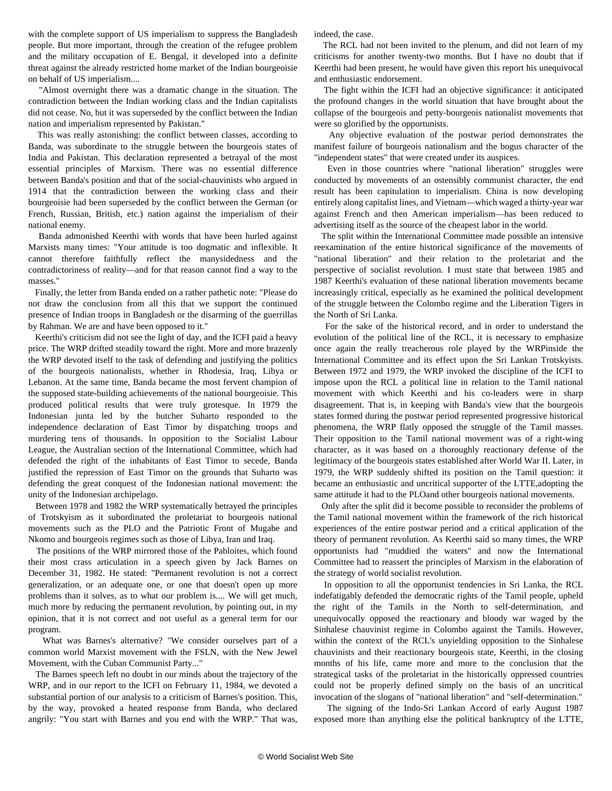with the complete support of US imperialism to suppress the Bangladesh people. But more important, through the creation of the refugee problem and the military occupation of E. Bengal, it developed into a definite threat against the already restricted home market of the Indian bourgeoisie on behalf of US imperialism....

 "Almost overnight there was a dramatic change in the situation. The contradiction between the Indian working class and the Indian capitalists did not cease. No, but it was superseded by the conflict between the Indian nation and imperialism represented by Pakistan."

 This was really astonishing: the conflict between classes, according to Banda, was subordinate to the struggle between the bourgeois states of India and Pakistan. This declaration represented a betrayal of the most essential principles of Marxism. There was no essential difference between Banda's position and that of the social-chauvinists who argued in 1914 that the contradiction between the working class and their bourgeoisie had been superseded by the conflict between the German (or French, Russian, British, etc.) nation against the imperialism of their national enemy.

 Banda admonished Keerthi with words that have been hurled against Marxists many times: "Your attitude is too dogmatic and inflexible. It cannot therefore faithfully reflect the manysidedness and the contradictoriness of reality—and for that reason cannot find a way to the masses."

 Finally, the letter from Banda ended on a rather pathetic note: "Please do not draw the conclusion from all this that we support the continued presence of Indian troops in Bangladesh or the disarming of the guerrillas by Rahman. We are and have been opposed to it."

 Keerthi's criticism did not see the light of day, and the ICFI paid a heavy price. The WRP drifted steadily toward the right. More and more brazenly the WRP devoted itself to the task of defending and justifying the politics of the bourgeois nationalists, whether in Rhodesia, Iraq, Libya or Lebanon. At the same time, Banda became the most fervent champion of the supposed state-building achievements of the national bourgeoisie. This produced political results that were truly grotesque. In 1979 the Indonesian junta led by the butcher Suharto responded to the independence declaration of East Timor by dispatching troops and murdering tens of thousands. In opposition to the Socialist Labour League, the Australian section of the International Committee, which had defended the right of the inhabitants of East Timor to secede, Banda justified the repression of East Timor on the grounds that Suharto was defending the great conquest of the Indonesian national movement: the unity of the Indonesian archipelago.

 Between 1978 and 1982 the WRP systematically betrayed the principles of Trotskyism as it subordinated the proletariat to bourgeois national movements such as the PLO and the Patriotic Front of Mugabe and Nkomo and bourgeois regimes such as those of Libya, Iran and Iraq.

 The positions of the WRP mirrored those of the Pabloites, which found their most crass articulation in a speech given by Jack Barnes on December 31, 1982. He stated: "Permanent revolution is not a correct generalization, or an adequate one, or one that doesn't open up more problems than it solves, as to what our problem is.... We will get much, much more by reducing the permanent revolution, by pointing out, in my opinion, that it is not correct and not useful as a general term for our program.

 What was Barnes's alternative? "We consider ourselves part of a common world Marxist movement with the FSLN, with the New Jewel Movement, with the Cuban Communist Party..."

 The Barnes speech left no doubt in our minds about the trajectory of the WRP, and in our report to the ICFI on February 11, 1984, we devoted a substantial portion of our analysis to a criticism of Barnes's position. This, by the way, provoked a heated response from Banda, who declared angrily: "You start with Barnes and you end with the WRP." That was, indeed, the case.

 The RCL had not been invited to the plenum, and did not learn of my criticisms for another twenty-two months. But I have no doubt that if Keerthi had been present, he would have given this report his unequivocal and enthusiastic endorsement.

 The fight within the ICFI had an objective significance: it anticipated the profound changes in the world situation that have brought about the collapse of the bourgeois and petty-bourgeois nationalist movements that were so glorified by the opportunists.

 Any objective evaluation of the postwar period demonstrates the manifest failure of bourgeois nationalism and the bogus character of the "independent states" that were created under its auspices.

 Even in those countries where "national liberation" struggles were conducted by movements of an ostensibly communist character, the end result has been capitulation to imperialism. China is now developing entirely along capitalist lines, and Vietnam—which waged a thirty-year war against French and then American imperialism—has been reduced to advertising itself as the source of the cheapest labor in the world.

 The split within the International Committee made possible an intensive reexamination of the entire historical significance of the movements of "national liberation" and their relation to the proletariat and the perspective of socialist revolution. I must state that between 1985 and 1987 Keerthi's evaluation of these national liberation movements became increasingly critical, especially as he examined the political development of the struggle between the Colombo regime and the Liberation Tigers in the North of Sri Lanka.

 For the sake of the historical record, and in order to understand the evolution of the political line of the RCL, it is necessary to emphasize once again the really treacherous role played by the WRPinside the International Committee and its effect upon the Sri Lankan Trotskyists. Between 1972 and 1979, the WRP invoked the discipline of the ICFI to impose upon the RCL a political line in relation to the Tamil national movement with which Keerthi and his co-leaders were in sharp disagreement. That is, in keeping with Banda's view that the bourgeois states formed during the postwar period represented progressive historical phenomena, the WRP flatly opposed the struggle of the Tamil masses. Their opposition to the Tamil national movement was of a right-wing character, as it was based on a thoroughly reactionary defense of the legitimacy of the bourgeois states established after World War II. Later, in 1979, the WRP suddenly shifted its position on the Tamil question: it became an enthusiastic and uncritical supporter of the LTTE,adopting the same attitude it had to the PLOand other bourgeois national movements.

 Only after the split did it become possible to reconsider the problems of the Tamil national movement within the framework of the rich historical experiences of the entire postwar period and a critical application of the theory of permanent revolution. As Keerthi said so many times, the WRP opportunists had "muddied the waters" and now the International Committee had to reassert the principles of Marxism in the elaboration of the strategy of world socialist revolution.

 In opposition to all the opportunist tendencies in Sri Lanka, the RCL indefatigably defended the democratic rights of the Tamil people, upheld the right of the Tamils in the North to self-determination, and unequivocally opposed the reactionary and bloody war waged by the Sinhalese chauvinist regime in Colombo against the Tamils. However, within the context of the RCL's unyielding opposition to the Sinhalese chauvinists and their reactionary bourgeois state, Keerthi, in the closing months of his life, came more and more to the conclusion that the strategical tasks of the proletariat in the historically oppressed countries could not be properly defined simply on the basis of an uncritical invocation of the slogans of "national liberation" and "self-determination."

 The signing of the Indo-Sri Lankan Accord of early August 1987 exposed more than anything else the political bankruptcy of the LTTE,